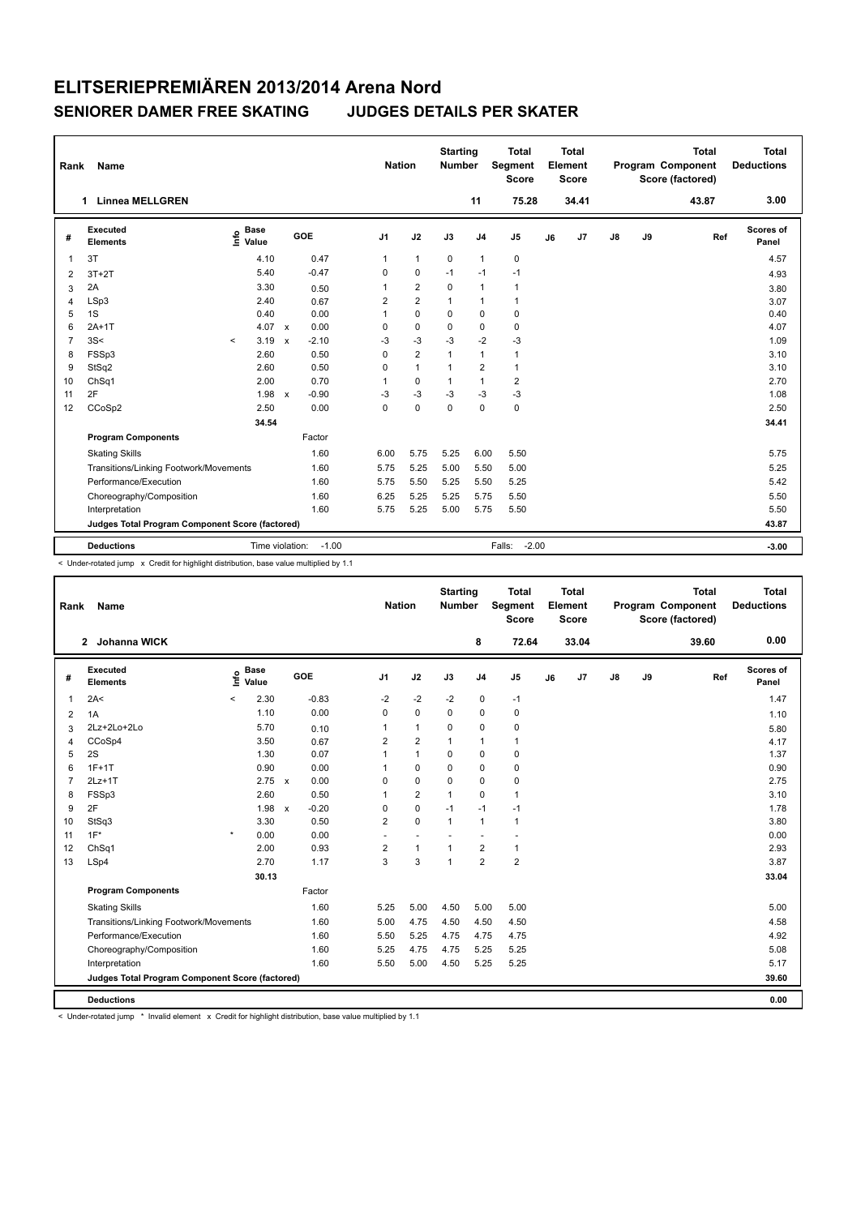| Rank           | Name                                            | <b>Nation</b>                    |                      | <b>Starting</b><br><b>Number</b> |                | <b>Total</b><br>Segment<br><b>Score</b> |              | Total<br>Element<br><b>Score</b> |                         |    | <b>Total</b><br>Program Component<br>Score (factored) | Total<br><b>Deductions</b> |    |       |                           |
|----------------|-------------------------------------------------|----------------------------------|----------------------|----------------------------------|----------------|-----------------------------------------|--------------|----------------------------------|-------------------------|----|-------------------------------------------------------|----------------------------|----|-------|---------------------------|
|                | <b>Linnea MELLGREN</b><br>1                     |                                  |                      |                                  |                |                                         |              | 11                               | 75.28                   |    | 34.41                                                 |                            |    | 43.87 | 3.00                      |
| #              | <b>Executed</b><br><b>Elements</b>              | <b>Base</b><br>e Base<br>⊆ Value |                      | GOE                              | J <sub>1</sub> | J2                                      | J3           | J <sub>4</sub>                   | J <sub>5</sub>          | J6 | J7                                                    | $\mathsf{J}8$              | J9 | Ref   | <b>Scores of</b><br>Panel |
| $\overline{1}$ | 3T                                              | 4.10                             |                      | 0.47                             | 1              | $\mathbf{1}$                            | 0            | $\mathbf{1}$                     | $\pmb{0}$               |    |                                                       |                            |    |       | 4.57                      |
| 2              | $3T+2T$                                         | 5.40                             |                      | $-0.47$                          | $\mathbf 0$    | $\mathbf 0$                             | $-1$         | $-1$                             | $-1$                    |    |                                                       |                            |    |       | 4.93                      |
| 3              | 2A                                              | 3.30                             |                      | 0.50                             | 1              | $\overline{2}$                          | $\mathbf 0$  | $\mathbf{1}$                     | 1                       |    |                                                       |                            |    |       | 3.80                      |
| $\overline{4}$ | LSp3                                            | 2.40                             |                      | 0.67                             | $\overline{2}$ | $\overline{2}$                          | 1            | $\mathbf{1}$                     | $\mathbf{1}$            |    |                                                       |                            |    |       | 3.07                      |
| 5              | 1S                                              | 0.40                             |                      | 0.00                             | 1              | $\mathbf 0$                             | $\Omega$     | $\mathbf 0$                      | $\mathbf 0$             |    |                                                       |                            |    |       | 0.40                      |
| 6              | $2A+1T$                                         |                                  | 4.07 x               | 0.00                             | 0              | $\mathbf 0$                             | $\Omega$     | $\mathbf 0$                      | $\mathbf 0$             |    |                                                       |                            |    |       | 4.07                      |
| $\overline{7}$ | 3S<                                             | 3.19<br>$\prec$                  |                      | $-2.10$<br>$\mathsf{x}$          | $-3$           | $-3$                                    | $-3$         | $-2$                             | $-3$                    |    |                                                       |                            |    |       | 1.09                      |
| 8              | FSSp3                                           | 2.60                             |                      | 0.50                             | $\Omega$       | $\overline{2}$                          | $\mathbf{1}$ | $\mathbf{1}$                     | $\mathbf{1}$            |    |                                                       |                            |    |       | 3.10                      |
| 9              | StSq2                                           | 2.60                             |                      | 0.50                             | $\Omega$       | $\mathbf{1}$                            | $\mathbf{1}$ | $\overline{2}$                   | $\mathbf{1}$            |    |                                                       |                            |    |       | 3.10                      |
| 10             | ChSq1                                           | 2.00                             |                      | 0.70                             | 1              | $\mathbf 0$                             | $\mathbf{1}$ | $\mathbf{1}$                     | $\overline{\mathbf{c}}$ |    |                                                       |                            |    |       | 2.70                      |
| 11             | 2F                                              |                                  | 1.98<br>$\mathsf{x}$ | $-0.90$                          | -3             | $-3$                                    | $-3$         | $-3$                             | $-3$                    |    |                                                       |                            |    |       | 1.08                      |
| 12             | CCoSp2                                          | 2.50                             |                      | 0.00                             | $\Omega$       | $\Omega$                                | $\Omega$     | $\Omega$                         | $\mathbf 0$             |    |                                                       |                            |    |       | 2.50                      |
|                |                                                 | 34.54                            |                      |                                  |                |                                         |              |                                  |                         |    |                                                       |                            |    |       | 34.41                     |
|                | <b>Program Components</b>                       |                                  |                      | Factor                           |                |                                         |              |                                  |                         |    |                                                       |                            |    |       |                           |
|                | <b>Skating Skills</b>                           |                                  |                      | 1.60                             | 6.00           | 5.75                                    | 5.25         | 6.00                             | 5.50                    |    |                                                       |                            |    |       | 5.75                      |
|                | Transitions/Linking Footwork/Movements          |                                  |                      | 1.60                             | 5.75           | 5.25                                    | 5.00         | 5.50                             | 5.00                    |    |                                                       |                            |    |       | 5.25                      |
|                | Performance/Execution                           |                                  |                      | 1.60                             | 5.75           | 5.50                                    | 5.25         | 5.50                             | 5.25                    |    |                                                       |                            |    |       | 5.42                      |
|                | Choreography/Composition                        |                                  |                      | 1.60                             | 6.25           | 5.25                                    | 5.25         | 5.75                             | 5.50                    |    |                                                       |                            |    |       | 5.50                      |
|                | Interpretation                                  |                                  |                      | 1.60                             | 5.75           | 5.25                                    | 5.00         | 5.75                             | 5.50                    |    |                                                       |                            |    |       | 5.50                      |
|                | Judges Total Program Component Score (factored) |                                  |                      |                                  |                |                                         |              |                                  |                         |    |                                                       |                            |    |       | 43.87                     |
|                | <b>Deductions</b>                               |                                  |                      | Time violation:<br>$-1.00$       |                |                                         |              |                                  | $-2.00$<br>Falls:       |    |                                                       |                            |    |       | $-3.00$                   |

< Under-rotated jump x Credit for highlight distribution, base value multiplied by 1.1

| Rank           | Name                                            |                              |               |                         | <b>Nation</b>  |                          | <b>Starting</b><br><b>Number</b> |                | <b>Total</b><br>Segment<br>Score |    | <b>Total</b><br>Element<br><b>Score</b> |               |    | <b>Total</b><br>Program Component<br>Score (factored) | <b>Total</b><br><b>Deductions</b> |
|----------------|-------------------------------------------------|------------------------------|---------------|-------------------------|----------------|--------------------------|----------------------------------|----------------|----------------------------------|----|-----------------------------------------|---------------|----|-------------------------------------------------------|-----------------------------------|
|                | 2 Johanna WICK                                  |                              |               |                         |                |                          |                                  | 8              | 72.64                            |    | 33.04                                   |               |    | 39.60                                                 | 0.00                              |
| #              | <b>Executed</b><br><b>Elements</b>              | <b>Base</b><br>١nf٥<br>Value |               | GOE                     | J <sub>1</sub> | J2                       | J3                               | J <sub>4</sub> | J <sub>5</sub>                   | J6 | J7                                      | $\mathsf{J}8$ | J9 | Ref                                                   | Scores of<br>Panel                |
| 1              | 2A<                                             | $\prec$                      | 2.30          | $-0.83$                 | $-2$           | $-2$                     | $-2$                             | $\pmb{0}$      | $-1$                             |    |                                         |               |    |                                                       | 1.47                              |
| 2              | 1A                                              |                              | 1.10          | 0.00                    | $\Omega$       | $\mathbf 0$              | $\Omega$                         | 0              | 0                                |    |                                         |               |    |                                                       | 1.10                              |
| 3              | 2Lz+2Lo+2Lo                                     |                              | 5.70          | 0.10                    | 1              | $\mathbf{1}$             | $\Omega$                         | $\mathbf 0$    | $\pmb{0}$                        |    |                                         |               |    |                                                       | 5.80                              |
| 4              | CCoSp4                                          |                              | 3.50          | 0.67                    | $\overline{2}$ | $\overline{2}$           | $\mathbf{1}$                     | $\mathbf{1}$   | $\mathbf{1}$                     |    |                                         |               |    |                                                       | 4.17                              |
| 5              | 2S                                              |                              | 1.30          | 0.07                    | 1              | $\mathbf{1}$             | 0                                | 0              | 0                                |    |                                         |               |    |                                                       | 1.37                              |
| 6              | $1F+1T$                                         |                              | 0.90          | 0.00                    | 1              | $\mathbf 0$              | $\Omega$                         | 0              | 0                                |    |                                         |               |    |                                                       | 0.90                              |
| $\overline{7}$ | $2Lz+1T$                                        |                              | $2.75 \times$ | 0.00                    | 0              | $\mathbf 0$              | 0                                | $\mathbf 0$    | $\pmb{0}$                        |    |                                         |               |    |                                                       | 2.75                              |
| 8              | FSSp3                                           |                              | 2.60          | 0.50                    | 1              | $\overline{2}$           | 1                                | $\Omega$       | $\mathbf{1}$                     |    |                                         |               |    |                                                       | 3.10                              |
| 9              | 2F                                              |                              | 1.98          | $-0.20$<br>$\mathsf{x}$ | 0              | $\mathbf 0$              | $-1$                             | $-1$           | $-1$                             |    |                                         |               |    |                                                       | 1.78                              |
| 10             | StSq3                                           |                              | 3.30          | 0.50                    | $\overline{2}$ | $\Omega$                 | $\mathbf{1}$                     | $\mathbf{1}$   | $\mathbf{1}$                     |    |                                         |               |    |                                                       | 3.80                              |
| 11             | $1F^*$                                          | $\star$                      | 0.00          | 0.00                    | ä,             | $\overline{\phantom{a}}$ |                                  |                | $\overline{\phantom{a}}$         |    |                                         |               |    |                                                       | 0.00                              |
| 12             | ChSq1                                           |                              | 2.00          | 0.93                    | 2              | $\mathbf{1}$             | 1                                | $\overline{2}$ | $\mathbf{1}$                     |    |                                         |               |    |                                                       | 2.93                              |
| 13             | LSp4                                            |                              | 2.70          | 1.17                    | 3              | 3                        | 1                                | $\overline{2}$ | $\overline{2}$                   |    |                                         |               |    |                                                       | 3.87                              |
|                |                                                 |                              | 30.13         |                         |                |                          |                                  |                |                                  |    |                                         |               |    |                                                       | 33.04                             |
|                | <b>Program Components</b>                       |                              |               | Factor                  |                |                          |                                  |                |                                  |    |                                         |               |    |                                                       |                                   |
|                | <b>Skating Skills</b>                           |                              |               | 1.60                    | 5.25           | 5.00                     | 4.50                             | 5.00           | 5.00                             |    |                                         |               |    |                                                       | 5.00                              |
|                | Transitions/Linking Footwork/Movements          |                              |               | 1.60                    | 5.00           | 4.75                     | 4.50                             | 4.50           | 4.50                             |    |                                         |               |    |                                                       | 4.58                              |
|                | Performance/Execution                           |                              |               | 1.60                    | 5.50           | 5.25                     | 4.75                             | 4.75           | 4.75                             |    |                                         |               |    |                                                       | 4.92                              |
|                | Choreography/Composition                        |                              |               | 1.60                    | 5.25           | 4.75                     | 4.75                             | 5.25           | 5.25                             |    |                                         |               |    |                                                       | 5.08                              |
|                | Interpretation                                  |                              |               | 1.60                    | 5.50           | 5.00                     | 4.50                             | 5.25           | 5.25                             |    |                                         |               |    |                                                       | 5.17                              |
|                | Judges Total Program Component Score (factored) |                              |               |                         |                |                          |                                  |                |                                  |    |                                         |               |    |                                                       | 39.60                             |
|                | <b>Deductions</b>                               |                              |               |                         |                |                          |                                  |                |                                  |    |                                         |               |    |                                                       | 0.00                              |

< Under-rotated jump \* Invalid element x Credit for highlight distribution, base value multiplied by 1.1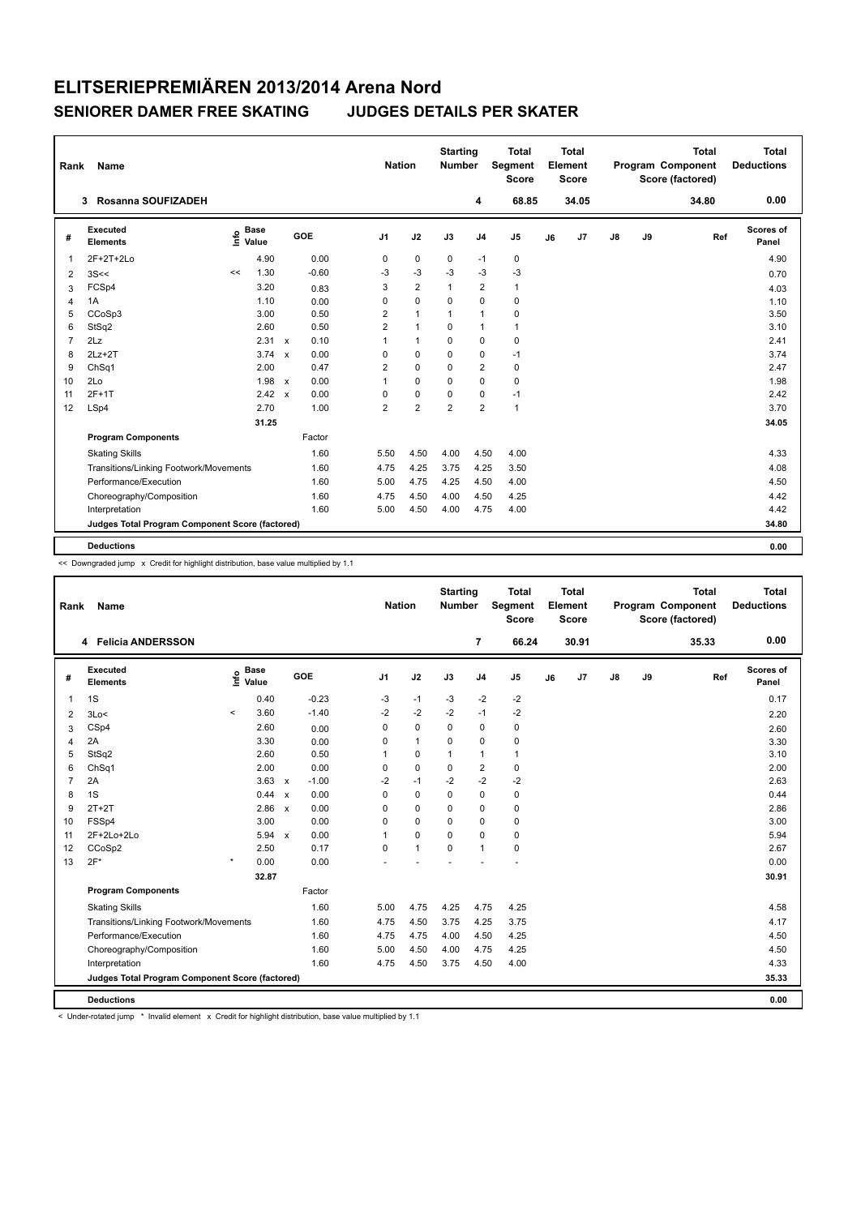| Rank           | Name                                            |                              |                           |         |                | <b>Nation</b>  | <b>Starting</b><br><b>Number</b> |                | <b>Total</b><br>Segment<br><b>Score</b> |    | <b>Total</b><br>Element<br><b>Score</b> |               |    | <b>Total</b><br>Program Component<br>Score (factored) | <b>Total</b><br><b>Deductions</b> |
|----------------|-------------------------------------------------|------------------------------|---------------------------|---------|----------------|----------------|----------------------------------|----------------|-----------------------------------------|----|-----------------------------------------|---------------|----|-------------------------------------------------------|-----------------------------------|
|                | Rosanna SOUFIZADEH<br>3                         |                              |                           |         |                |                |                                  | 4              | 68.85                                   |    | 34.05                                   |               |    | 34.80                                                 | 0.00                              |
| #              | Executed<br><b>Elements</b>                     | <b>Base</b><br>lnfo<br>Value |                           | GOE     | J <sub>1</sub> | J2             | J3                               | J <sub>4</sub> | J <sub>5</sub>                          | J6 | J7                                      | $\mathsf{J}8$ | J9 | Ref                                                   | Scores of<br>Panel                |
| $\mathbf{1}$   | 2F+2T+2Lo                                       | 4.90                         |                           | 0.00    | 0              | 0              | 0                                | $-1$           | 0                                       |    |                                         |               |    |                                                       | 4.90                              |
| $\overline{2}$ | 3S<<                                            | 1.30<br><<                   |                           | $-0.60$ | $-3$           | -3             | $-3$                             | $-3$           | -3                                      |    |                                         |               |    |                                                       | 0.70                              |
| 3              | FCSp4                                           | 3.20                         |                           | 0.83    | 3              | $\overline{2}$ | 1                                | $\overline{2}$ | $\mathbf{1}$                            |    |                                         |               |    |                                                       | 4.03                              |
| 4              | 1A                                              | 1.10                         |                           | 0.00    | 0              | $\mathbf 0$    | $\mathbf 0$                      | $\mathbf 0$    | $\pmb{0}$                               |    |                                         |               |    |                                                       | 1.10                              |
| 5              | CCoSp3                                          | 3.00                         |                           | 0.50    | $\overline{2}$ | $\mathbf{1}$   | $\mathbf{1}$                     | $\overline{1}$ | 0                                       |    |                                         |               |    |                                                       | 3.50                              |
| 6              | StSq2                                           | 2.60                         |                           | 0.50    | $\overline{2}$ | $\mathbf{1}$   | $\Omega$                         | $\overline{1}$ | $\mathbf{1}$                            |    |                                         |               |    |                                                       | 3.10                              |
| $\overline{7}$ | 2Lz                                             | 2.31                         | $\mathsf{x}$              | 0.10    | 1              | $\mathbf{1}$   | 0                                | $\mathbf 0$    | $\pmb{0}$                               |    |                                         |               |    |                                                       | 2.41                              |
| 8              | $2Lz+2T$                                        | 3.74                         | $\boldsymbol{\mathsf{x}}$ | 0.00    | 0              | $\Omega$       | $\Omega$                         | 0              | $-1$                                    |    |                                         |               |    |                                                       | 3.74                              |
| 9              | ChSq1                                           | 2.00                         |                           | 0.47    | $\overline{2}$ | $\mathbf 0$    | 0                                | $\overline{2}$ | 0                                       |    |                                         |               |    |                                                       | 2.47                              |
| 10             | 2Lo                                             | 1.98                         | $\mathsf{x}$              | 0.00    | 1              | $\mathbf 0$    | $\Omega$                         | $\mathbf 0$    | $\mathbf 0$                             |    |                                         |               |    |                                                       | 1.98                              |
| 11             | $2F+1T$                                         | 2.42                         | $\mathsf{x}$              | 0.00    | 0              | $\mathbf 0$    | 0                                | 0              | $-1$                                    |    |                                         |               |    |                                                       | 2.42                              |
| 12             | LSp4                                            | 2.70                         |                           | 1.00    | $\overline{2}$ | $\overline{2}$ | $\overline{2}$                   | $\overline{2}$ | $\mathbf{1}$                            |    |                                         |               |    |                                                       | 3.70                              |
|                |                                                 | 31.25                        |                           |         |                |                |                                  |                |                                         |    |                                         |               |    |                                                       | 34.05                             |
|                | <b>Program Components</b>                       |                              |                           | Factor  |                |                |                                  |                |                                         |    |                                         |               |    |                                                       |                                   |
|                | <b>Skating Skills</b>                           |                              |                           | 1.60    | 5.50           | 4.50           | 4.00                             | 4.50           | 4.00                                    |    |                                         |               |    |                                                       | 4.33                              |
|                | Transitions/Linking Footwork/Movements          |                              |                           | 1.60    | 4.75           | 4.25           | 3.75                             | 4.25           | 3.50                                    |    |                                         |               |    |                                                       | 4.08                              |
|                | Performance/Execution                           |                              |                           | 1.60    | 5.00           | 4.75           | 4.25                             | 4.50           | 4.00                                    |    |                                         |               |    |                                                       | 4.50                              |
|                | Choreography/Composition                        |                              |                           | 1.60    | 4.75           | 4.50           | 4.00                             | 4.50           | 4.25                                    |    |                                         |               |    |                                                       | 4.42                              |
|                | Interpretation                                  |                              |                           | 1.60    | 5.00           | 4.50           | 4.00                             | 4.75           | 4.00                                    |    |                                         |               |    |                                                       | 4.42                              |
|                | Judges Total Program Component Score (factored) |                              |                           |         |                |                |                                  |                |                                         |    |                                         |               |    |                                                       | 34.80                             |
|                |                                                 |                              |                           |         |                |                |                                  |                |                                         |    |                                         |               |    |                                                       |                                   |
|                | <b>Deductions</b>                               |                              |                           |         |                |                |                                  |                |                                         |    |                                         |               |    |                                                       | 0.00                              |

<< Downgraded jump x Credit for highlight distribution, base value multiplied by 1.1

| Rank | Name                                            |         |                      |                           |            | <b>Nation</b>  |              | <b>Starting</b><br><b>Number</b> |                | <b>Total</b><br>Segment<br>Score |    | <b>Total</b><br>Element<br><b>Score</b> |    |    | <b>Total</b><br>Program Component<br>Score (factored) |     | <b>Total</b><br><b>Deductions</b> |
|------|-------------------------------------------------|---------|----------------------|---------------------------|------------|----------------|--------------|----------------------------------|----------------|----------------------------------|----|-----------------------------------------|----|----|-------------------------------------------------------|-----|-----------------------------------|
|      | 4 Felicia ANDERSSON                             |         |                      |                           |            |                |              |                                  | $\overline{7}$ | 66.24                            |    | 30.91                                   |    |    | 35.33                                                 |     | 0.00                              |
| #    | Executed<br><b>Elements</b>                     | Linfo   | <b>Base</b><br>Value |                           | <b>GOE</b> | J <sub>1</sub> | J2           | J3                               | J <sub>4</sub> | J5                               | J6 | J7                                      | J8 | J9 |                                                       | Ref | Scores of<br>Panel                |
| 1    | 1S                                              |         | 0.40                 |                           | $-0.23$    | -3             | $-1$         | -3                               | $-2$           | $-2$                             |    |                                         |    |    |                                                       |     | 0.17                              |
| 2    | 3Lo<                                            | $\,<\,$ | 3.60                 |                           | $-1.40$    | $-2$           | $-2$         | $-2$                             | $-1$           | -2                               |    |                                         |    |    |                                                       |     | 2.20                              |
| 3    | CSp4                                            |         | 2.60                 |                           | 0.00       | 0              | $\pmb{0}$    | $\mathbf 0$                      | $\pmb{0}$      | $\pmb{0}$                        |    |                                         |    |    |                                                       |     | 2.60                              |
| 4    | 2A                                              |         | 3.30                 |                           | 0.00       | 0              | $\mathbf{1}$ | $\Omega$                         | $\mathbf 0$    | $\pmb{0}$                        |    |                                         |    |    |                                                       |     | 3.30                              |
| 5    | StSq2                                           |         | 2.60                 |                           | 0.50       |                | $\pmb{0}$    | $\mathbf{1}$                     | $\mathbf{1}$   | $\mathbf{1}$                     |    |                                         |    |    |                                                       |     | 3.10                              |
| 6    | ChSq1                                           |         | 2.00                 |                           | 0.00       | 0              | $\mathbf 0$  | 0                                | $\overline{2}$ | $\pmb{0}$                        |    |                                         |    |    |                                                       |     | 2.00                              |
| 7    | 2A                                              |         | $3.63 \times$        |                           | $-1.00$    | $-2$           | $-1$         | $-2$                             | $-2$           | $-2$                             |    |                                         |    |    |                                                       |     | 2.63                              |
| 8    | 1S                                              |         | 0.44                 | $\boldsymbol{\mathsf{x}}$ | 0.00       | 0              | $\mathbf 0$  | $\Omega$                         | $\mathbf 0$    | $\pmb{0}$                        |    |                                         |    |    |                                                       |     | 0.44                              |
| 9    | $2T+2T$                                         |         | 2.86 x               |                           | 0.00       | $\Omega$       | $\mathbf 0$  | $\Omega$                         | $\mathbf 0$    | $\pmb{0}$                        |    |                                         |    |    |                                                       |     | 2.86                              |
| 10   | FSSp4                                           |         | 3.00                 |                           | 0.00       | 0              | $\mathbf 0$  | $\Omega$                         | $\mathbf 0$    | $\pmb{0}$                        |    |                                         |    |    |                                                       |     | 3.00                              |
| 11   | 2F+2Lo+2Lo                                      |         | $5.94 \times$        |                           | 0.00       | 1              | $\mathbf 0$  | $\mathbf 0$                      | $\mathbf 0$    | $\pmb{0}$                        |    |                                         |    |    |                                                       |     | 5.94                              |
| 12   | CCoSp2                                          |         | 2.50                 |                           | 0.17       | $\mathbf 0$    | $\mathbf{1}$ | $\mathbf 0$                      | $\overline{1}$ | $\mathbf 0$                      |    |                                         |    |    |                                                       |     | 2.67                              |
| 13   | $2F*$                                           | $\star$ | 0.00                 |                           | 0.00       |                |              |                                  |                |                                  |    |                                         |    |    |                                                       |     | 0.00                              |
|      |                                                 |         | 32.87                |                           |            |                |              |                                  |                |                                  |    |                                         |    |    |                                                       |     | 30.91                             |
|      | <b>Program Components</b>                       |         |                      |                           | Factor     |                |              |                                  |                |                                  |    |                                         |    |    |                                                       |     |                                   |
|      | <b>Skating Skills</b>                           |         |                      |                           | 1.60       | 5.00           | 4.75         | 4.25                             | 4.75           | 4.25                             |    |                                         |    |    |                                                       |     | 4.58                              |
|      | Transitions/Linking Footwork/Movements          |         |                      |                           | 1.60       | 4.75           | 4.50         | 3.75                             | 4.25           | 3.75                             |    |                                         |    |    |                                                       |     | 4.17                              |
|      | Performance/Execution                           |         |                      |                           | 1.60       | 4.75           | 4.75         | 4.00                             | 4.50           | 4.25                             |    |                                         |    |    |                                                       |     | 4.50                              |
|      | Choreography/Composition                        |         |                      |                           | 1.60       | 5.00           | 4.50         | 4.00                             | 4.75           | 4.25                             |    |                                         |    |    |                                                       |     | 4.50                              |
|      | Interpretation                                  |         |                      |                           | 1.60       | 4.75           | 4.50         | 3.75                             | 4.50           | 4.00                             |    |                                         |    |    |                                                       |     | 4.33                              |
|      | Judges Total Program Component Score (factored) |         |                      |                           |            |                |              |                                  |                |                                  |    |                                         |    |    |                                                       |     | 35.33                             |
|      |                                                 |         |                      |                           |            |                |              |                                  |                |                                  |    |                                         |    |    |                                                       |     |                                   |
|      | <b>Deductions</b>                               |         |                      |                           |            |                |              |                                  |                |                                  |    |                                         |    |    |                                                       |     | 0.00                              |

< Under-rotated jump \* Invalid element x Credit for highlight distribution, base value multiplied by 1.1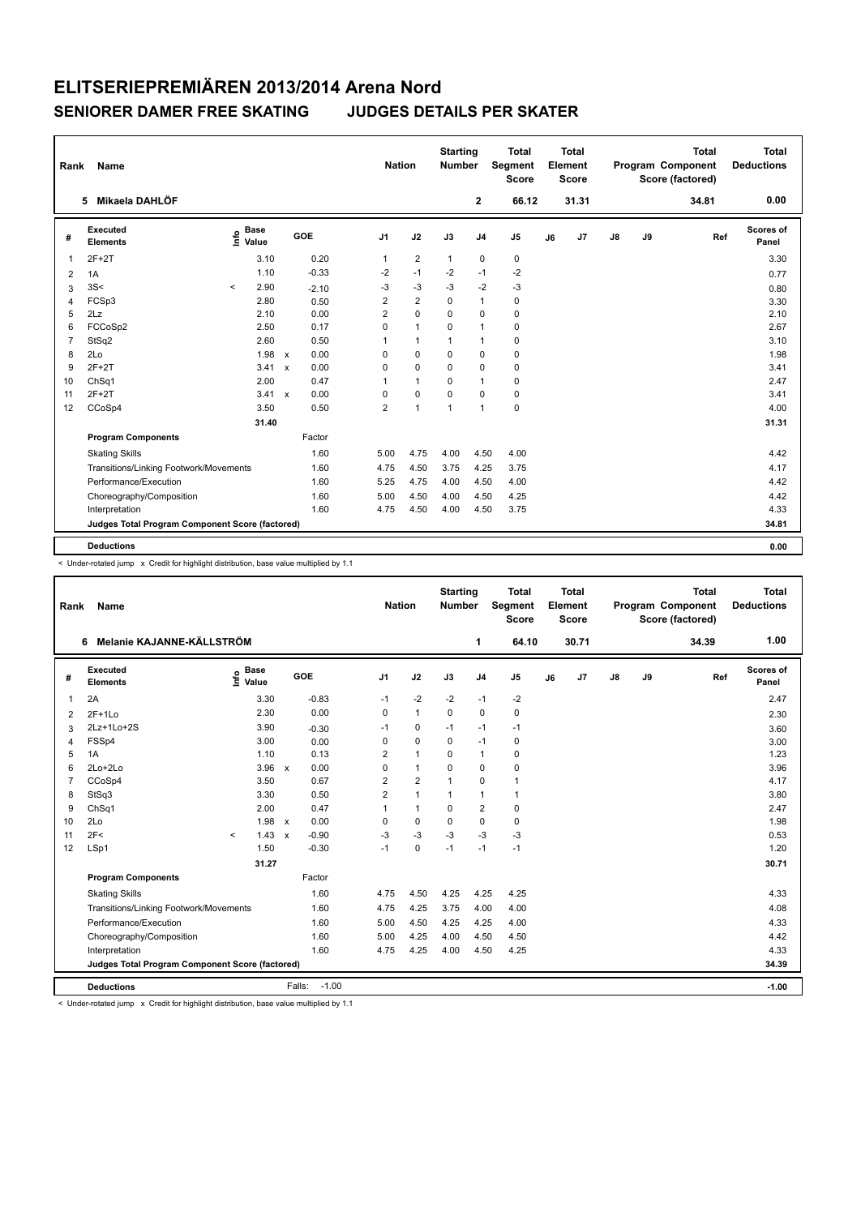|                | Name<br>Rank<br>Mikaela DAHLÖF<br>5             |       |                      |                           |         | <b>Nation</b>  |                | <b>Starting</b><br><b>Number</b> |                | <b>Total</b><br>Segment<br><b>Score</b> |    | Total<br>Element<br><b>Score</b> |               |    | <b>Total</b><br>Program Component<br>Score (factored) | Total<br><b>Deductions</b> |
|----------------|-------------------------------------------------|-------|----------------------|---------------------------|---------|----------------|----------------|----------------------------------|----------------|-----------------------------------------|----|----------------------------------|---------------|----|-------------------------------------------------------|----------------------------|
|                |                                                 |       |                      |                           |         |                |                |                                  | $\overline{2}$ | 66.12                                   |    | 31.31                            |               |    | 34.81                                                 | 0.00                       |
| #              | Executed<br><b>Elements</b>                     | lnfo  | <b>Base</b><br>Value |                           | GOE     | J <sub>1</sub> | J2             | J3                               | J <sub>4</sub> | J <sub>5</sub>                          | J6 | J7                               | $\mathsf{J}8$ | J9 | Ref                                                   | Scores of<br>Panel         |
| $\mathbf 1$    | $2F+2T$                                         |       | 3.10                 |                           | 0.20    | 1              | $\overline{2}$ | $\mathbf{1}$                     | 0              | 0                                       |    |                                  |               |    |                                                       | 3.30                       |
| 2              | 1A                                              |       | 1.10                 |                           | $-0.33$ | $-2$           | $-1$           | $-2$                             | $-1$           | $-2$                                    |    |                                  |               |    |                                                       | 0.77                       |
| 3              | 3S<                                             | $\,<$ | 2.90                 |                           | $-2.10$ | $-3$           | $-3$           | $-3$                             | $-2$           | $-3$                                    |    |                                  |               |    |                                                       | 0.80                       |
| $\overline{4}$ | FCSp3                                           |       | 2.80                 |                           | 0.50    | 2              | $\overline{2}$ | $\mathbf 0$                      | $\mathbf{1}$   | $\pmb{0}$                               |    |                                  |               |    |                                                       | 3.30                       |
| 5              | 2Lz                                             |       | 2.10                 |                           | 0.00    | $\overline{2}$ | $\mathbf 0$    | 0                                | 0              | 0                                       |    |                                  |               |    |                                                       | 2.10                       |
| 6              | FCCoSp2                                         |       | 2.50                 |                           | 0.17    | $\mathbf 0$    | $\mathbf{1}$   | 0                                | $\overline{1}$ | 0                                       |    |                                  |               |    |                                                       | 2.67                       |
| $\overline{7}$ | StSq2                                           |       | 2.60                 |                           | 0.50    | 1              | $\mathbf{1}$   | 1                                | $\overline{1}$ | $\pmb{0}$                               |    |                                  |               |    |                                                       | 3.10                       |
| 8              | 2Lo                                             |       | 1.98                 | $\mathbf{x}$              | 0.00    | 0              | $\mathbf 0$    | $\Omega$                         | 0              | 0                                       |    |                                  |               |    |                                                       | 1.98                       |
| 9              | $2F+2T$                                         |       | 3.41                 | $\boldsymbol{\mathsf{x}}$ | 0.00    | 0              | $\mathbf 0$    | $\mathbf 0$                      | $\mathbf 0$    | $\pmb{0}$                               |    |                                  |               |    |                                                       | 3.41                       |
| 10             | ChSq1                                           |       | 2.00                 |                           | 0.47    | 1              | $\mathbf{1}$   | $\Omega$                         | $\overline{1}$ | $\pmb{0}$                               |    |                                  |               |    |                                                       | 2.47                       |
| 11             | $2F+2T$                                         |       | $3.41 \times$        |                           | 0.00    | 0              | $\mathbf 0$    | $\Omega$                         | $\mathbf 0$    | $\pmb{0}$                               |    |                                  |               |    |                                                       | 3.41                       |
| 12             | CCoSp4                                          |       | 3.50                 |                           | 0.50    | 2              | $\mathbf{1}$   | $\overline{1}$                   | $\overline{1}$ | $\pmb{0}$                               |    |                                  |               |    |                                                       | 4.00                       |
|                |                                                 |       | 31.40                |                           |         |                |                |                                  |                |                                         |    |                                  |               |    |                                                       | 31.31                      |
|                | <b>Program Components</b>                       |       |                      |                           | Factor  |                |                |                                  |                |                                         |    |                                  |               |    |                                                       |                            |
|                | <b>Skating Skills</b>                           |       |                      |                           | 1.60    | 5.00           | 4.75           | 4.00                             | 4.50           | 4.00                                    |    |                                  |               |    |                                                       | 4.42                       |
|                | Transitions/Linking Footwork/Movements          |       |                      |                           | 1.60    | 4.75           | 4.50           | 3.75                             | 4.25           | 3.75                                    |    |                                  |               |    |                                                       | 4.17                       |
|                | Performance/Execution                           |       |                      |                           | 1.60    | 5.25           | 4.75           | 4.00                             | 4.50           | 4.00                                    |    |                                  |               |    |                                                       | 4.42                       |
|                | Choreography/Composition                        |       |                      |                           | 1.60    | 5.00           | 4.50           | 4.00                             | 4.50           | 4.25                                    |    |                                  |               |    |                                                       | 4.42                       |
|                | Interpretation                                  |       |                      |                           | 1.60    | 4.75           | 4.50           | 4.00                             | 4.50           | 3.75                                    |    |                                  |               |    |                                                       | 4.33                       |
|                | Judges Total Program Component Score (factored) |       |                      |                           |         |                |                |                                  |                |                                         |    |                                  |               |    |                                                       | 34.81                      |
|                |                                                 |       |                      |                           |         |                |                |                                  |                |                                         |    |                                  |               |    |                                                       |                            |
|                | <b>Deductions</b>                               |       |                      |                           |         |                |                |                                  |                |                                         |    |                                  |               |    |                                                       | 0.00                       |

< Under-rotated jump x Credit for highlight distribution, base value multiplied by 1.1

| Rank           | Name                                            |         |                                  |              |                   | <b>Nation</b>  |                | <b>Starting</b><br><b>Number</b> |                | <b>Total</b><br>Segment<br><b>Score</b> |    | <b>Total</b><br>Element<br><b>Score</b> |               |    | <b>Total</b><br>Program Component<br>Score (factored) | <b>Total</b><br><b>Deductions</b> |
|----------------|-------------------------------------------------|---------|----------------------------------|--------------|-------------------|----------------|----------------|----------------------------------|----------------|-----------------------------------------|----|-----------------------------------------|---------------|----|-------------------------------------------------------|-----------------------------------|
|                | Melanie KAJANNE-KÄLLSTRÖM<br>6                  |         |                                  |              |                   |                |                |                                  | 1              | 64.10                                   |    | 30.71                                   |               |    | 34.39                                                 | 1.00                              |
| #              | Executed<br><b>Elements</b>                     |         | <b>Base</b><br>e Base<br>E Value |              | GOE               | J <sub>1</sub> | J2             | J3                               | J <sub>4</sub> | J <sub>5</sub>                          | J6 | J7                                      | $\mathsf{J}8$ | J9 | Ref                                                   | Scores of<br>Panel                |
| 1              | 2A                                              |         | 3.30                             |              | $-0.83$           | $-1$           | $-2$           | $-2$                             | $-1$           | $-2$                                    |    |                                         |               |    |                                                       | 2.47                              |
| $\overline{2}$ | $2F+1Lo$                                        |         | 2.30                             |              | 0.00              | 0              | $\mathbf{1}$   | 0                                | $\mathbf 0$    | $\pmb{0}$                               |    |                                         |               |    |                                                       | 2.30                              |
| 3              | 2Lz+1Lo+2S                                      |         | 3.90                             |              | $-0.30$           | $-1$           | 0              | $-1$                             | $-1$           | $-1$                                    |    |                                         |               |    |                                                       | 3.60                              |
| $\overline{4}$ | FSSp4                                           |         | 3.00                             |              | 0.00              | 0              | $\mathbf 0$    | $\mathbf 0$                      | $-1$           | $\pmb{0}$                               |    |                                         |               |    |                                                       | 3.00                              |
| 5              | 1A                                              |         | 1.10                             |              | 0.13              | 2              | $\mathbf{1}$   | 0                                | $\overline{1}$ | 0                                       |    |                                         |               |    |                                                       | 1.23                              |
| 6              | 2Lo+2Lo                                         |         | 3.96                             | $\mathsf{x}$ | 0.00              | 0              | $\mathbf{1}$   | 0                                | $\mathbf 0$    | $\pmb{0}$                               |    |                                         |               |    |                                                       | 3.96                              |
| $\overline{7}$ | CCoSp4                                          |         | 3.50                             |              | 0.67              | 2              | $\overline{2}$ | $\overline{1}$                   | $\Omega$       | $\mathbf{1}$                            |    |                                         |               |    |                                                       | 4.17                              |
| 8              | StSq3                                           |         | 3.30                             |              | 0.50              | $\overline{2}$ | $\mathbf{1}$   | $\mathbf{1}$                     | $\mathbf{1}$   | $\mathbf{1}$                            |    |                                         |               |    |                                                       | 3.80                              |
| 9              | ChSq1                                           |         | 2.00                             |              | 0.47              | 1              | $\mathbf{1}$   | $\Omega$                         | $\overline{2}$ | $\mathbf 0$                             |    |                                         |               |    |                                                       | 2.47                              |
| 10             | 2Lo                                             |         | 1.98                             | $\mathsf{x}$ | 0.00              | 0              | $\mathbf 0$    | $\Omega$                         | $\mathbf 0$    | $\mathbf 0$                             |    |                                         |               |    |                                                       | 1.98                              |
| 11             | 2F<                                             | $\prec$ | 1.43                             | $\mathsf{x}$ | $-0.90$           | $-3$           | $-3$           | $-3$                             | $-3$           | $-3$                                    |    |                                         |               |    |                                                       | 0.53                              |
| 12             | LSp1                                            |         | 1.50                             |              | $-0.30$           | $-1$           | $\mathbf 0$    | $-1$                             | $-1$           | $-1$                                    |    |                                         |               |    |                                                       | 1.20                              |
|                |                                                 |         | 31.27                            |              |                   |                |                |                                  |                |                                         |    |                                         |               |    |                                                       | 30.71                             |
|                | <b>Program Components</b>                       |         |                                  |              | Factor            |                |                |                                  |                |                                         |    |                                         |               |    |                                                       |                                   |
|                | <b>Skating Skills</b>                           |         |                                  |              | 1.60              | 4.75           | 4.50           | 4.25                             | 4.25           | 4.25                                    |    |                                         |               |    |                                                       | 4.33                              |
|                | Transitions/Linking Footwork/Movements          |         |                                  |              | 1.60              | 4.75           | 4.25           | 3.75                             | 4.00           | 4.00                                    |    |                                         |               |    |                                                       | 4.08                              |
|                | Performance/Execution                           |         |                                  |              | 1.60              | 5.00           | 4.50           | 4.25                             | 4.25           | 4.00                                    |    |                                         |               |    |                                                       | 4.33                              |
|                | Choreography/Composition                        |         |                                  |              | 1.60              | 5.00           | 4.25           | 4.00                             | 4.50           | 4.50                                    |    |                                         |               |    |                                                       | 4.42                              |
|                | Interpretation                                  |         |                                  |              | 1.60              | 4.75           | 4.25           | 4.00                             | 4.50           | 4.25                                    |    |                                         |               |    |                                                       | 4.33                              |
|                | Judges Total Program Component Score (factored) |         |                                  |              |                   |                |                |                                  |                |                                         |    |                                         |               |    |                                                       | 34.39                             |
|                | <b>Deductions</b>                               |         |                                  |              | $-1.00$<br>Falls: |                |                |                                  |                |                                         |    |                                         |               |    |                                                       | $-1.00$                           |

< Under-rotated jump x Credit for highlight distribution, base value multiplied by 1.1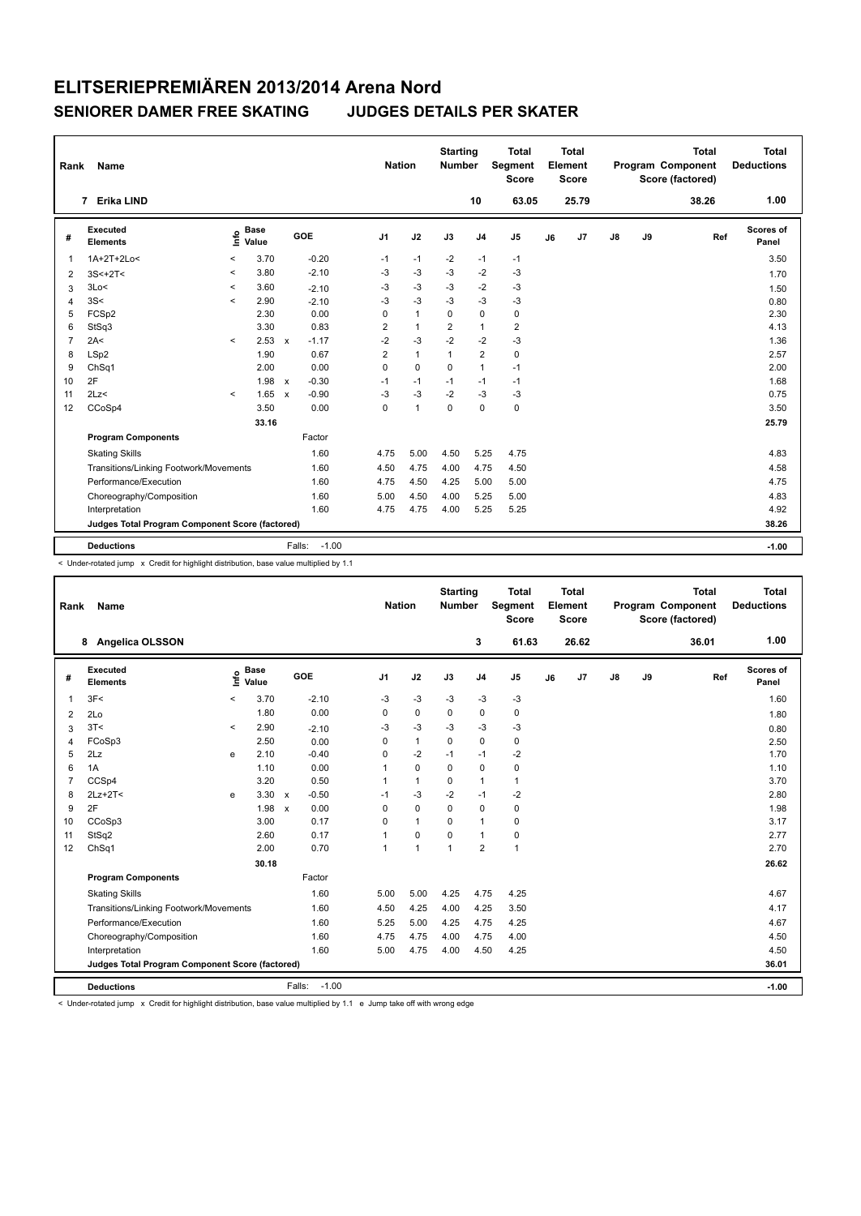| Rank           | Name                                            |         |                      | <b>Nation</b> |                   | <b>Starting</b><br>Number |              | <b>Total</b><br><b>Segment</b><br><b>Score</b> |                | Total<br>Element<br><b>Score</b> |    |       | <b>Total</b><br>Program Component<br>Score (factored) |    | Total<br><b>Deductions</b> |     |                    |
|----------------|-------------------------------------------------|---------|----------------------|---------------|-------------------|---------------------------|--------------|------------------------------------------------|----------------|----------------------------------|----|-------|-------------------------------------------------------|----|----------------------------|-----|--------------------|
|                | 7 Erika LIND                                    |         |                      |               |                   |                           |              |                                                | 10             | 63.05                            |    | 25.79 |                                                       |    | 38.26                      |     | 1.00               |
| #              | Executed<br><b>Elements</b>                     | lnfo    | <b>Base</b><br>Value |               | GOE               | J <sub>1</sub>            | J2           | J3                                             | J <sub>4</sub> | J5                               | J6 | J7    | $\mathsf{J}8$                                         | J9 |                            | Ref | Scores of<br>Panel |
| $\overline{1}$ | 1A+2T+2Lo<                                      | $\prec$ | 3.70                 |               | $-0.20$           | $-1$                      | $-1$         | $-2$                                           | $-1$           | $-1$                             |    |       |                                                       |    |                            |     | 3.50               |
| 2              | $3S<+2T<$                                       | $\prec$ | 3.80                 |               | $-2.10$           | $-3$                      | $-3$         | $-3$                                           | $-2$           | $-3$                             |    |       |                                                       |    |                            |     | 1.70               |
| 3              | 3Lo<                                            | $\prec$ | 3.60                 |               | $-2.10$           | -3                        | $-3$         | $-3$                                           | $-2$           | $-3$                             |    |       |                                                       |    |                            |     | 1.50               |
| $\overline{4}$ | 3S<                                             | $\prec$ | 2.90                 |               | $-2.10$           | $-3$                      | $-3$         | -3                                             | $-3$           | $-3$                             |    |       |                                                       |    |                            |     | 0.80               |
| 5              | FCSp2                                           |         | 2.30                 |               | 0.00              | 0                         | $\mathbf{1}$ | $\Omega$                                       | $\mathbf 0$    | $\mathbf 0$                      |    |       |                                                       |    |                            |     | 2.30               |
| 6              | StSq3                                           |         | 3.30                 |               | 0.83              | 2                         | $\mathbf{1}$ | 2                                              | $\mathbf{1}$   | $\overline{\mathbf{c}}$          |    |       |                                                       |    |                            |     | 4.13               |
| $\overline{7}$ | 2A<                                             | $\prec$ | 2.53                 | $\mathsf{x}$  | $-1.17$           | $-2$                      | $-3$         | $-2$                                           | $-2$           | $-3$                             |    |       |                                                       |    |                            |     | 1.36               |
| 8              | LSp2                                            |         | 1.90                 |               | 0.67              | $\overline{2}$            | $\mathbf{1}$ | $\mathbf{1}$                                   | $\overline{2}$ | $\mathbf 0$                      |    |       |                                                       |    |                            |     | 2.57               |
| 9              | ChSq1                                           |         | 2.00                 |               | 0.00              | $\Omega$                  | $\Omega$     | $\Omega$                                       | $\mathbf{1}$   | $-1$                             |    |       |                                                       |    |                            |     | 2.00               |
| 10             | 2F                                              |         | 1.98                 | $\mathsf{x}$  | $-0.30$           | $-1$                      | $-1$         | $-1$                                           | $-1$           | $-1$                             |    |       |                                                       |    |                            |     | 1.68               |
| 11             | 2Lz<                                            | $\prec$ | 1.65                 | $\mathbf{x}$  | $-0.90$           | -3                        | $-3$         | $-2$                                           | $-3$           | $-3$                             |    |       |                                                       |    |                            |     | 0.75               |
| 12             | CCoSp4                                          |         | 3.50                 |               | 0.00              | $\Omega$                  | $\mathbf{1}$ | $\Omega$                                       | $\Omega$       | $\mathbf 0$                      |    |       |                                                       |    |                            |     | 3.50               |
|                |                                                 |         | 33.16                |               |                   |                           |              |                                                |                |                                  |    |       |                                                       |    |                            |     | 25.79              |
|                | <b>Program Components</b>                       |         |                      |               | Factor            |                           |              |                                                |                |                                  |    |       |                                                       |    |                            |     |                    |
|                | <b>Skating Skills</b>                           |         |                      |               | 1.60              | 4.75                      | 5.00         | 4.50                                           | 5.25           | 4.75                             |    |       |                                                       |    |                            |     | 4.83               |
|                | Transitions/Linking Footwork/Movements          |         |                      |               | 1.60              | 4.50                      | 4.75         | 4.00                                           | 4.75           | 4.50                             |    |       |                                                       |    |                            |     | 4.58               |
|                | Performance/Execution                           |         |                      |               | 1.60              | 4.75                      | 4.50         | 4.25                                           | 5.00           | 5.00                             |    |       |                                                       |    |                            |     | 4.75               |
|                | Choreography/Composition                        |         |                      |               | 1.60              | 5.00                      | 4.50         | 4.00                                           | 5.25           | 5.00                             |    |       |                                                       |    |                            |     | 4.83               |
|                | Interpretation                                  |         |                      |               | 1.60              | 4.75                      | 4.75         | 4.00                                           | 5.25           | 5.25                             |    |       |                                                       |    |                            |     | 4.92               |
|                | Judges Total Program Component Score (factored) |         |                      |               |                   |                           |              |                                                |                |                                  |    |       |                                                       |    |                            |     | 38.26              |
|                | <b>Deductions</b>                               |         |                      |               | $-1.00$<br>Falls: |                           |              |                                                |                |                                  |    |       |                                                       |    |                            |     | $-1.00$            |

< Under-rotated jump x Credit for highlight distribution, base value multiplied by 1.1

| Rank           | Name                                            |          |                      |              |                   | <b>Nation</b>  |              | <b>Starting</b><br><b>Number</b> |                | <b>Total</b><br>Segment<br><b>Score</b> |    | <b>Total</b><br>Element<br><b>Score</b> |               |    | <b>Total</b><br>Program Component<br>Score (factored) | <b>Total</b><br><b>Deductions</b> |
|----------------|-------------------------------------------------|----------|----------------------|--------------|-------------------|----------------|--------------|----------------------------------|----------------|-----------------------------------------|----|-----------------------------------------|---------------|----|-------------------------------------------------------|-----------------------------------|
|                | <b>Angelica OLSSON</b><br>8                     |          |                      |              |                   |                |              |                                  | 3              | 61.63                                   |    | 26.62                                   |               |    | 36.01                                                 | 1.00                              |
| #              | Executed<br><b>Elements</b>                     | ١nf٥     | <b>Base</b><br>Value |              | GOE               | J <sub>1</sub> | J2           | J3                               | J <sub>4</sub> | J <sub>5</sub>                          | J6 | J7                                      | $\mathsf{J}8$ | J9 | Ref                                                   | Scores of<br>Panel                |
| 1              | 3F<                                             | $\,<$    | 3.70                 |              | $-2.10$           | -3             | $-3$         | $-3$                             | $-3$           | $-3$                                    |    |                                         |               |    |                                                       | 1.60                              |
| $\overline{2}$ | 2Lo                                             |          | 1.80                 |              | 0.00              | 0              | $\pmb{0}$    | $\mathbf 0$                      | $\mathbf 0$    | $\pmb{0}$                               |    |                                         |               |    |                                                       | 1.80                              |
| 3              | 3T<                                             | $\hat{}$ | 2.90                 |              | $-2.10$           | $-3$           | $-3$         | $-3$                             | $-3$           | $-3$                                    |    |                                         |               |    |                                                       | 0.80                              |
| $\overline{4}$ | FCoSp3                                          |          | 2.50                 |              | 0.00              | 0              | $\mathbf{1}$ | $\mathbf 0$                      | $\mathbf 0$    | $\pmb{0}$                               |    |                                         |               |    |                                                       | 2.50                              |
| 5              | 2Lz                                             | е        | 2.10                 |              | $-0.40$           | 0              | $-2$         | $-1$                             | $-1$           | $-2$                                    |    |                                         |               |    |                                                       | 1.70                              |
| 6              | 1A                                              |          | 1.10                 |              | 0.00              | 1              | $\mathbf 0$  | $\mathbf 0$                      | $\mathbf 0$    | $\pmb{0}$                               |    |                                         |               |    |                                                       | 1.10                              |
| 7              | CCSp4                                           |          | 3.20                 |              | 0.50              | $\mathbf{1}$   | $\mathbf{1}$ | 0                                | $\overline{1}$ | $\mathbf{1}$                            |    |                                         |               |    |                                                       | 3.70                              |
| 8              | $2Lz+2T<$                                       | e        | 3.30                 | $\mathsf{x}$ | $-0.50$           | $-1$           | $-3$         | $-2$                             | $-1$           | $-2$                                    |    |                                         |               |    |                                                       | 2.80                              |
| 9              | 2F                                              |          | 1.98                 | $\mathsf{x}$ | 0.00              | 0              | $\mathbf 0$  | 0                                | $\mathbf 0$    | $\mathbf 0$                             |    |                                         |               |    |                                                       | 1.98                              |
| 10             | CCoSp3                                          |          | 3.00                 |              | 0.17              | 0              | $\mathbf{1}$ | $\Omega$                         | $\mathbf{1}$   | $\mathbf 0$                             |    |                                         |               |    |                                                       | 3.17                              |
| 11             | StSq2                                           |          | 2.60                 |              | 0.17              | 1              | $\mathbf 0$  | 0                                | $\mathbf{1}$   | $\pmb{0}$                               |    |                                         |               |    |                                                       | 2.77                              |
| 12             | ChSq1                                           |          | 2.00                 |              | 0.70              | 1              | $\mathbf{1}$ | $\overline{1}$                   | $\overline{2}$ | $\mathbf{1}$                            |    |                                         |               |    |                                                       | 2.70                              |
|                |                                                 |          | 30.18                |              |                   |                |              |                                  |                |                                         |    |                                         |               |    |                                                       | 26.62                             |
|                | <b>Program Components</b>                       |          |                      |              | Factor            |                |              |                                  |                |                                         |    |                                         |               |    |                                                       |                                   |
|                | <b>Skating Skills</b>                           |          |                      |              | 1.60              | 5.00           | 5.00         | 4.25                             | 4.75           | 4.25                                    |    |                                         |               |    |                                                       | 4.67                              |
|                | Transitions/Linking Footwork/Movements          |          |                      |              | 1.60              | 4.50           | 4.25         | 4.00                             | 4.25           | 3.50                                    |    |                                         |               |    |                                                       | 4.17                              |
|                | Performance/Execution                           |          |                      |              | 1.60              | 5.25           | 5.00         | 4.25                             | 4.75           | 4.25                                    |    |                                         |               |    |                                                       | 4.67                              |
|                | Choreography/Composition                        |          |                      |              | 1.60              | 4.75           | 4.75         | 4.00                             | 4.75           | 4.00                                    |    |                                         |               |    |                                                       | 4.50                              |
|                | Interpretation                                  |          |                      |              | 1.60              | 5.00           | 4.75         | 4.00                             | 4.50           | 4.25                                    |    |                                         |               |    |                                                       | 4.50                              |
|                | Judges Total Program Component Score (factored) |          |                      |              |                   |                |              |                                  |                |                                         |    |                                         |               |    |                                                       | 36.01                             |
|                | <b>Deductions</b>                               |          |                      |              | $-1.00$<br>Falls: |                |              |                                  |                |                                         |    |                                         |               |    |                                                       | $-1.00$                           |

< Under-rotated jump x Credit for highlight distribution, base value multiplied by 1.1 e Jump take off with wrong edge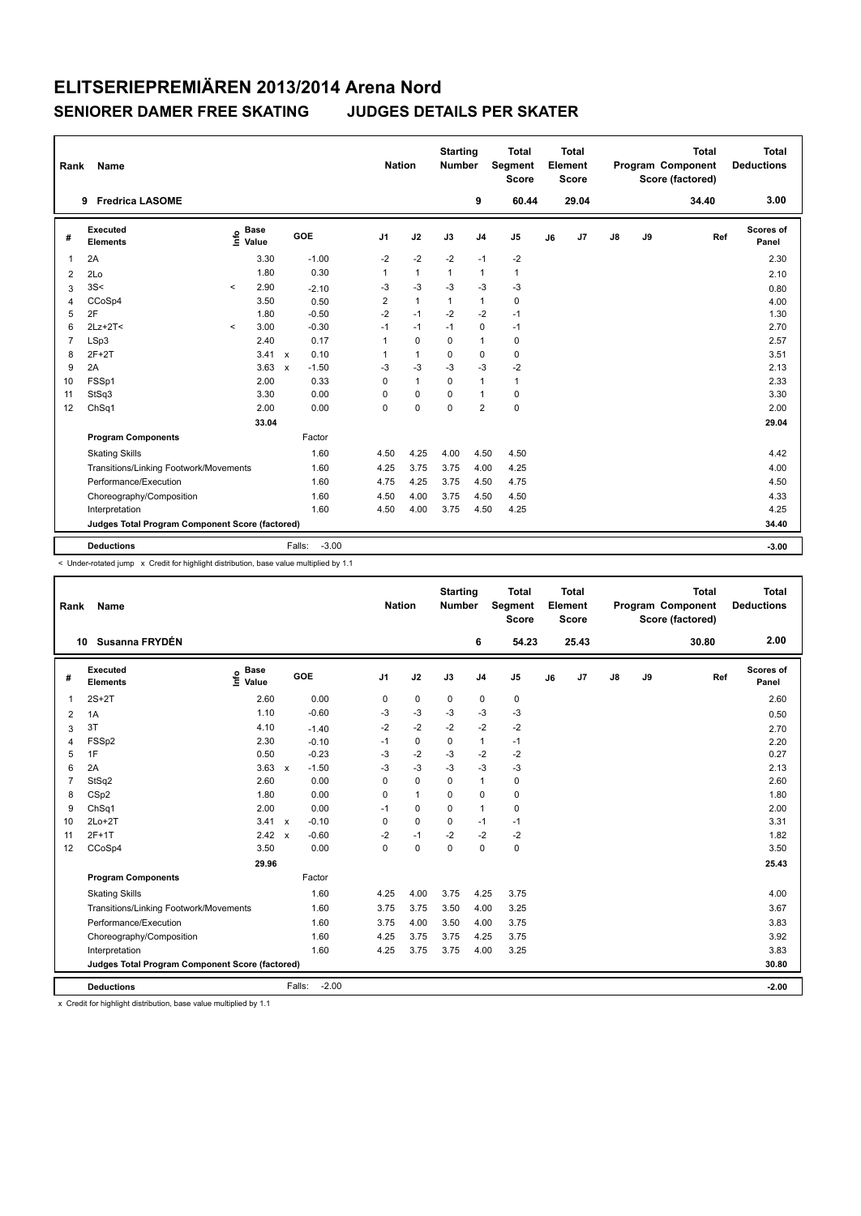| Rank           | Name                                            |         |                                  |                           |                   | <b>Nation</b>  |              | <b>Starting</b><br><b>Number</b> |                | <b>Total</b><br>Segment<br><b>Score</b> |    | Total<br>Element<br><b>Score</b> |               |    | <b>Total</b><br>Program Component<br>Score (factored) | Total<br><b>Deductions</b> |
|----------------|-------------------------------------------------|---------|----------------------------------|---------------------------|-------------------|----------------|--------------|----------------------------------|----------------|-----------------------------------------|----|----------------------------------|---------------|----|-------------------------------------------------------|----------------------------|
|                | <b>Fredrica LASOME</b><br>9                     |         |                                  |                           |                   |                |              |                                  | 9              | 60.44                                   |    | 29.04                            |               |    | 34.40                                                 | 3.00                       |
| #              | <b>Executed</b><br><b>Elements</b>              |         | <b>Base</b><br>e Base<br>E Value |                           | GOE               | J <sub>1</sub> | J2           | J3                               | J <sub>4</sub> | J <sub>5</sub>                          | J6 | J7                               | $\mathsf{J}8$ | J9 | Ref                                                   | <b>Scores of</b><br>Panel  |
| $\overline{1}$ | 2A                                              |         | 3.30                             |                           | $-1.00$           | $-2$           | $-2$         | $-2$                             | $-1$           | $-2$                                    |    |                                  |               |    |                                                       | 2.30                       |
| 2              | 2Lo                                             |         | 1.80                             |                           | 0.30              | 1              | $\mathbf{1}$ | 1                                | $\mathbf{1}$   | $\mathbf{1}$                            |    |                                  |               |    |                                                       | 2.10                       |
| 3              | 3S<                                             | $\prec$ | 2.90                             |                           | $-2.10$           | -3             | $-3$         | $-3$                             | $-3$           | $-3$                                    |    |                                  |               |    |                                                       | 0.80                       |
| 4              | CCoSp4                                          |         | 3.50                             |                           | 0.50              | $\overline{2}$ | $\mathbf{1}$ | 1                                | $\mathbf{1}$   | $\mathbf 0$                             |    |                                  |               |    |                                                       | 4.00                       |
| 5              | 2F                                              |         | 1.80                             |                           | $-0.50$           | $-2$           | $-1$         | $-2$                             | $-2$           | $-1$                                    |    |                                  |               |    |                                                       | 1.30                       |
| 6              | $2Lz+2T2$                                       | $\,<$   | 3.00                             |                           | $-0.30$           | $-1$           | $-1$         | $-1$                             | $\mathbf 0$    | $-1$                                    |    |                                  |               |    |                                                       | 2.70                       |
| $\overline{7}$ | LSp3                                            |         | 2.40                             |                           | 0.17              | 1              | $\mathbf 0$  | 0                                | $\mathbf{1}$   | 0                                       |    |                                  |               |    |                                                       | 2.57                       |
| 8              | $2F+2T$                                         |         | 3.41                             | $\mathsf{x}$              | 0.10              | 1              | $\mathbf{1}$ | $\mathbf 0$                      | $\mathbf 0$    | $\mathbf 0$                             |    |                                  |               |    |                                                       | 3.51                       |
| 9              | 2A                                              |         | 3.63                             | $\boldsymbol{\mathsf{x}}$ | $-1.50$           | $-3$           | $-3$         | $-3$                             | $-3$           | $-2$                                    |    |                                  |               |    |                                                       | 2.13                       |
| 10             | FSSp1                                           |         | 2.00                             |                           | 0.33              | $\Omega$       | $\mathbf{1}$ | $\Omega$                         | $\mathbf{1}$   | $\mathbf{1}$                            |    |                                  |               |    |                                                       | 2.33                       |
| 11             | StSq3                                           |         | 3.30                             |                           | 0.00              | $\Omega$       | 0            | $\Omega$                         | $\mathbf{1}$   | 0                                       |    |                                  |               |    |                                                       | 3.30                       |
| 12             | ChSq1                                           |         | 2.00                             |                           | 0.00              | $\Omega$       | $\mathbf 0$  | $\Omega$                         | $\overline{2}$ | $\mathbf 0$                             |    |                                  |               |    |                                                       | 2.00                       |
|                |                                                 |         | 33.04                            |                           |                   |                |              |                                  |                |                                         |    |                                  |               |    |                                                       | 29.04                      |
|                | <b>Program Components</b>                       |         |                                  |                           | Factor            |                |              |                                  |                |                                         |    |                                  |               |    |                                                       |                            |
|                | <b>Skating Skills</b>                           |         |                                  |                           | 1.60              | 4.50           | 4.25         | 4.00                             | 4.50           | 4.50                                    |    |                                  |               |    |                                                       | 4.42                       |
|                | Transitions/Linking Footwork/Movements          |         |                                  |                           | 1.60              | 4.25           | 3.75         | 3.75                             | 4.00           | 4.25                                    |    |                                  |               |    |                                                       | 4.00                       |
|                | Performance/Execution                           |         |                                  |                           | 1.60              | 4.75           | 4.25         | 3.75                             | 4.50           | 4.75                                    |    |                                  |               |    |                                                       | 4.50                       |
|                | Choreography/Composition                        |         |                                  |                           | 1.60              | 4.50           | 4.00         | 3.75                             | 4.50           | 4.50                                    |    |                                  |               |    |                                                       | 4.33                       |
|                | Interpretation                                  |         |                                  |                           | 1.60              | 4.50           | 4.00         | 3.75                             | 4.50           | 4.25                                    |    |                                  |               |    |                                                       | 4.25                       |
|                | Judges Total Program Component Score (factored) |         |                                  |                           |                   |                |              |                                  |                |                                         |    |                                  |               |    |                                                       | 34.40                      |
|                | <b>Deductions</b>                               |         |                                  |                           | $-3.00$<br>Falls: |                |              |                                  |                |                                         |    |                                  |               |    |                                                       | $-3.00$                    |

< Under-rotated jump x Credit for highlight distribution, base value multiplied by 1.1

| Rank           | Name                                            |                                    |                         | <b>Nation</b>  |              | <b>Starting</b><br><b>Number</b> |                | <b>Total</b><br>Segment<br><b>Score</b> |    | <b>Total</b><br>Element<br><b>Score</b> |               |    | <b>Total</b><br>Program Component<br>Score (factored) | <b>Total</b><br><b>Deductions</b> |
|----------------|-------------------------------------------------|------------------------------------|-------------------------|----------------|--------------|----------------------------------|----------------|-----------------------------------------|----|-----------------------------------------|---------------|----|-------------------------------------------------------|-----------------------------------|
|                | Susanna FRYDÉN<br>10                            |                                    |                         |                |              |                                  | 6              | 54.23                                   |    | 25.43                                   |               |    | 30.80                                                 | 2.00                              |
| #              | Executed<br><b>Elements</b>                     | <b>Base</b><br>$\frac{6}{5}$ Value | GOE                     | J <sub>1</sub> | J2           | J3                               | J <sub>4</sub> | J <sub>5</sub>                          | J6 | J7                                      | $\mathsf{J}8$ | J9 | Ref                                                   | Scores of<br>Panel                |
| 1              | $2S+2T$                                         | 2.60                               | 0.00                    | 0              | $\pmb{0}$    | 0                                | $\mathbf 0$    | $\pmb{0}$                               |    |                                         |               |    |                                                       | 2.60                              |
| $\overline{2}$ | 1A                                              | 1.10                               | $-0.60$                 | -3             | $-3$         | $-3$                             | $-3$           | $-3$                                    |    |                                         |               |    |                                                       | 0.50                              |
| 3              | 3T                                              | 4.10                               | $-1.40$                 | $-2$           | $-2$         | $-2$                             | $-2$           | $-2$                                    |    |                                         |               |    |                                                       | 2.70                              |
| $\overline{4}$ | FSSp2                                           | 2.30                               | $-0.10$                 | $-1$           | 0            | 0                                | $\mathbf{1}$   | $-1$                                    |    |                                         |               |    |                                                       | 2.20                              |
| 5              | 1F                                              | 0.50                               | $-0.23$                 | $-3$           | $-2$         | $-3$                             | $-2$           | $-2$                                    |    |                                         |               |    |                                                       | 0.27                              |
| 6              | 2A                                              | 3.63                               | $-1.50$<br>$\mathsf{x}$ | $-3$           | $-3$         | $-3$                             | $-3$           | -3                                      |    |                                         |               |    |                                                       | 2.13                              |
| $\overline{7}$ | StSq2                                           | 2.60                               | 0.00                    | $\Omega$       | $\mathbf 0$  | 0                                | $\mathbf{1}$   | 0                                       |    |                                         |               |    |                                                       | 2.60                              |
| 8              | CSp2                                            | 1.80                               | 0.00                    | 0              | $\mathbf{1}$ | 0                                | $\mathbf 0$    | $\mathbf 0$                             |    |                                         |               |    |                                                       | 1.80                              |
| 9              | ChSq1                                           | 2.00                               | 0.00                    | $-1$           | 0            | 0                                | $\mathbf{1}$   | 0                                       |    |                                         |               |    |                                                       | 2.00                              |
| 10             | $2Lo+2T$                                        | 3.41 x                             | $-0.10$                 | 0              | $\Omega$     | $\Omega$                         | $-1$           | $-1$                                    |    |                                         |               |    |                                                       | 3.31                              |
| 11             | $2F+1T$                                         | 2.42                               | $-0.60$<br>$\mathbf{x}$ | $-2$           | $-1$         | $-2$                             | $-2$           | $-2$                                    |    |                                         |               |    |                                                       | 1.82                              |
| 12             | CCoSp4                                          | 3.50                               | 0.00                    | 0              | $\mathbf 0$  | 0                                | $\mathbf 0$    | $\mathbf 0$                             |    |                                         |               |    |                                                       | 3.50                              |
|                |                                                 | 29.96                              |                         |                |              |                                  |                |                                         |    |                                         |               |    |                                                       | 25.43                             |
|                | <b>Program Components</b>                       |                                    | Factor                  |                |              |                                  |                |                                         |    |                                         |               |    |                                                       |                                   |
|                | <b>Skating Skills</b>                           |                                    | 1.60                    | 4.25           | 4.00         | 3.75                             | 4.25           | 3.75                                    |    |                                         |               |    |                                                       | 4.00                              |
|                | Transitions/Linking Footwork/Movements          |                                    | 1.60                    | 3.75           | 3.75         | 3.50                             | 4.00           | 3.25                                    |    |                                         |               |    |                                                       | 3.67                              |
|                | Performance/Execution                           |                                    | 1.60                    | 3.75           | 4.00         | 3.50                             | 4.00           | 3.75                                    |    |                                         |               |    |                                                       | 3.83                              |
|                | Choreography/Composition                        |                                    | 1.60                    | 4.25           | 3.75         | 3.75                             | 4.25           | 3.75                                    |    |                                         |               |    |                                                       | 3.92                              |
|                | Interpretation                                  |                                    | 1.60                    | 4.25           | 3.75         | 3.75                             | 4.00           | 3.25                                    |    |                                         |               |    |                                                       | 3.83                              |
|                | Judges Total Program Component Score (factored) |                                    |                         |                |              |                                  |                |                                         |    |                                         |               |    |                                                       | 30.80                             |
|                | <b>Deductions</b>                               |                                    | $-2.00$<br>Falls:       |                |              |                                  |                |                                         |    |                                         |               |    |                                                       | $-2.00$                           |

x Credit for highlight distribution, base value multiplied by 1.1